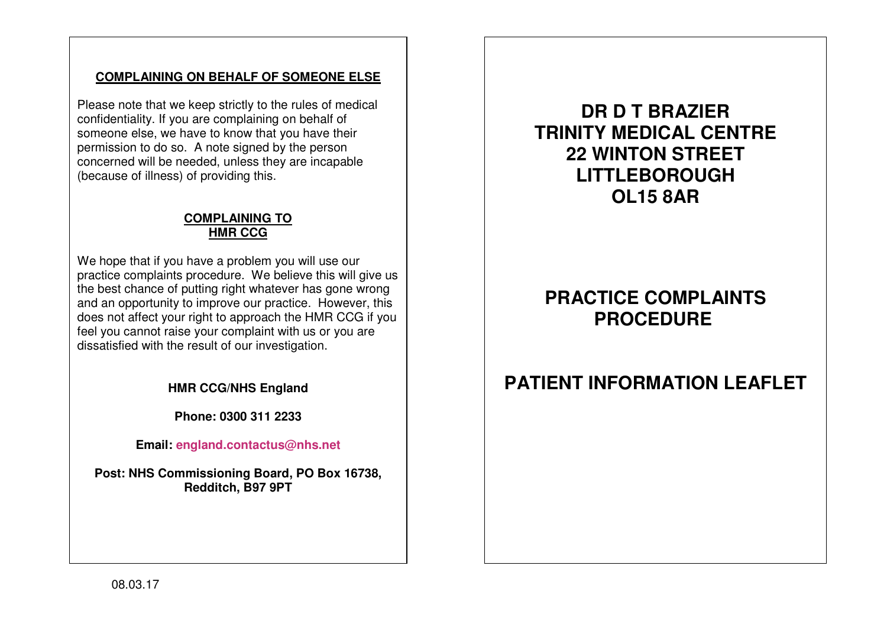### **COMPLAINING ON BEHALF OF SOMEONE ELSE**

Please note that we keep strictly to the rules of medical confidentiality. If you are complaining on behalf of someone else, we have to know that you have their permission to do so. A note signed by the person concerned will be needed, unless they are incapable(because of illness) of providing this.

### **COMPLAINING TO HMR CCG**

We hope that if you have a problem you will use our practice complaints procedure. We believe this will give us the best chance of putting right whatever has gone wrong and an opportunity to improve our practice. However, this does not affect your right to approach the HMR CCG if you feel you cannot raise your complaint with us or you are dissatisfied with the result of our investigation.

**HMR CCG/NHS England** 

**Phone: 0300 311 2233** 

**Email: england.contactus@nhs.net**

**Post: NHS Commissioning Board, PO Box 16738, Redditch, B97 9PT** 

**DR D T BRAZIER TRINITY MEDICAL CENTRE 22 WINTON STREET LITTLEBOROUGH OL15 8AR** 

# **PRACTICE COMPLAINTS PROCEDURE**

## **PATIENT INFORMATION LEAFLET**